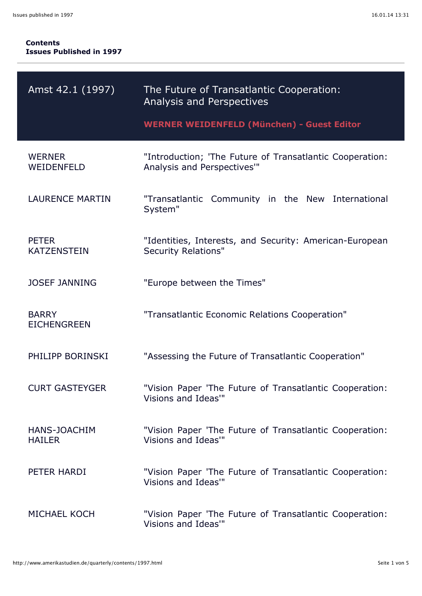| Amst 42.1 (1997)                     | The Future of Transatlantic Cooperation:<br><b>Analysis and Perspectives</b>           |
|--------------------------------------|----------------------------------------------------------------------------------------|
|                                      | <b>WERNER WEIDENFELD (München) - Guest Editor</b>                                      |
| <b>WERNER</b><br>WEIDENFELD          | "Introduction; 'The Future of Transatlantic Cooperation:<br>Analysis and Perspectives" |
| <b>LAURENCE MARTIN</b>               | "Transatlantic Community in the New International<br>System"                           |
| <b>PETER</b><br><b>KATZENSTEIN</b>   | "Identities, Interests, and Security: American-European<br><b>Security Relations"</b>  |
| <b>JOSEF JANNING</b>                 | "Europe between the Times"                                                             |
| <b>BARRY</b><br><b>EICHENGREEN</b>   | "Transatlantic Economic Relations Cooperation"                                         |
| PHILIPP BORINSKI                     | "Assessing the Future of Transatlantic Cooperation"                                    |
| <b>CURT GASTEYGER</b>                | "Vision Paper 'The Future of Transatlantic Cooperation:<br>Visions and Ideas"          |
| <b>HANS-JOACHIM</b><br><b>HAILER</b> | "Vision Paper 'The Future of Transatlantic Cooperation:<br>Visions and Ideas"          |
| PETER HARDI                          | "Vision Paper 'The Future of Transatlantic Cooperation:<br>Visions and Ideas"          |
| <b>MICHAEL KOCH</b>                  | "Vision Paper 'The Future of Transatlantic Cooperation:<br>Visions and Ideas"          |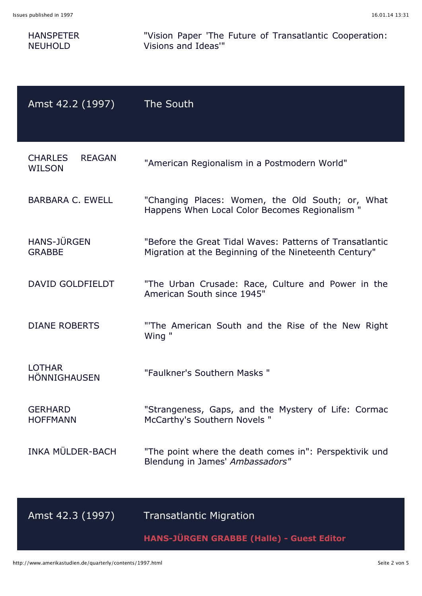| Issues published in 1997                         | 16.01.14 13:31                                                                                                    |
|--------------------------------------------------|-------------------------------------------------------------------------------------------------------------------|
| <b>HANSPETER</b><br><b>NEUHOLD</b>               | "Vision Paper 'The Future of Transatlantic Cooperation:<br>Visions and Ideas"                                     |
| Amst 42.2 (1997)                                 | The South                                                                                                         |
| <b>CHARLES</b><br><b>REAGAN</b><br><b>WILSON</b> | "American Regionalism in a Postmodern World"                                                                      |
| <b>BARBARA C. EWELL</b>                          | "Changing Places: Women, the Old South; or, What<br>Happens When Local Color Becomes Regionalism "                |
| <b>HANS-JÜRGEN</b><br><b>GRABBE</b>              | "Before the Great Tidal Waves: Patterns of Transatlantic<br>Migration at the Beginning of the Nineteenth Century" |
| <b>DAVID GOLDFIELDT</b>                          | "The Urban Crusade: Race, Culture and Power in the<br>American South since 1945"                                  |
| <b>DIANE ROBERTS</b>                             | "The American South and the Rise of the New Right<br>Wing "                                                       |
| <b>LOTHAR</b><br><b>HÖNNIGHAUSEN</b>             | "Faulkner's Southern Masks "                                                                                      |
| <b>GERHARD</b><br><b>HOFFMANN</b>                | "Strangeness, Gaps, and the Mystery of Life: Cormac<br>McCarthy's Southern Novels "                               |
| INKA MÜLDER-BACH                                 | "The point where the death comes in": Perspektivik und<br>Blendung in James' Ambassadors"                         |
|                                                  |                                                                                                                   |

Amst 42.3 (1997) Transatlantic Migration

**HANS-JÜRGEN GRABBE (Halle) - Guest Editor**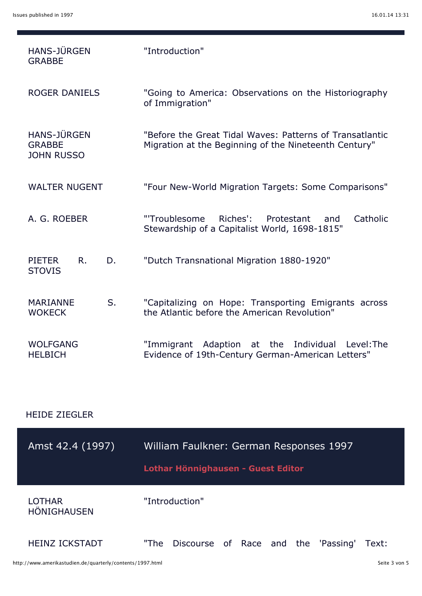| <b>HANS-JÜRGEN</b><br><b>GRABBE</b>                      | "Introduction"                                                                                                    |
|----------------------------------------------------------|-------------------------------------------------------------------------------------------------------------------|
| <b>ROGER DANIELS</b>                                     | "Going to America: Observations on the Historiography<br>of Immigration"                                          |
| <b>HANS-JÜRGEN</b><br><b>GRABBE</b><br><b>JOHN RUSSO</b> | "Before the Great Tidal Waves: Patterns of Transatlantic<br>Migration at the Beginning of the Nineteenth Century" |
| <b>WALTER NUGENT</b>                                     | "Four New-World Migration Targets: Some Comparisons"                                                              |
| A. G. ROEBER                                             | Riches':<br>Catholic<br>"'Troublesome<br>Protestant<br>and<br>Stewardship of a Capitalist World, 1698-1815"       |
| R.<br><b>PIETER</b><br>D.<br><b>STOVIS</b>               | "Dutch Transnational Migration 1880-1920"                                                                         |
| S.<br><b>MARIANNE</b><br><b>WOKECK</b>                   | "Capitalizing on Hope: Transporting Emigrants across<br>the Atlantic before the American Revolution"              |
| <b>WOLFGANG</b><br><b>HELBICH</b>                        | "Immigrant Adaption at the Individual<br>Level: The<br>Evidence of 19th-Century German-American Letters"          |

## HEIDE ZIEGLER

| Amst 42.4 (1997)                    | William Faulkner: German Responses 1997<br>Lothar Hönnighausen - Guest Editor |
|-------------------------------------|-------------------------------------------------------------------------------|
| <b>LOTHAR</b><br><b>HÖNIGHAUSEN</b> | "Introduction"                                                                |
| <b>HEINZ ICKSTADT</b>               | Discourse of Race and the 'Passing' Text:<br>"The                             |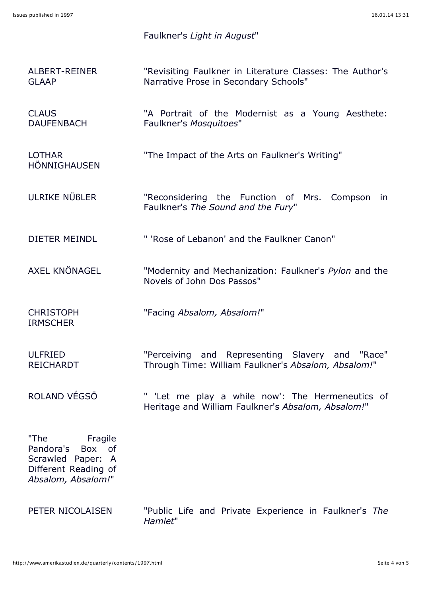## Faulkner's *Light in August*"

ALBERT-REINER GLAAP "Revisiting Faulkner in Literature Classes: The Author's Narrative Prose in Secondary Schools"

CLAUS DAUFENBACH "A Portrait of the Modernist as a Young Aesthete: Faulkner's *Mosquitoes*"

- LOTHAR HÖNNIGHAUSEN "The Impact of the Arts on Faulkner's Writing"
- ULRIKE NÜßLER "Reconsidering the Function of Mrs. Compson in Faulkner's *The Sound and the Fury*"
- DIETER MEINDL " 'Rose of Lebanon' and the Faulkner Canon"
- AXEL KNÖNAGEL "Modernity and Mechanization: Faulkner's *Pylon* and the Novels of John Dos Passos"
- **CHRISTOPH** IRMSCHER
- "Facing *Absalom, Absalom!*"
- ULFRIED REICHARDT "Perceiving and Representing Slavery and "Race" Through Time: William Faulkner's *Absalom, Absalom!*"
- ROLAND VÉGSÖ " 'Let me play a while now': The Hermeneutics of Heritage and William Faulkner's *Absalom, Absalom!*"

"The Fragile Pandora's Box of Scrawled Paper: A Different Reading of *Absalom, Absalom!*"

PETER NICOLAISEN "Public Life and Private Experience in Faulkner's *The Hamlet*"